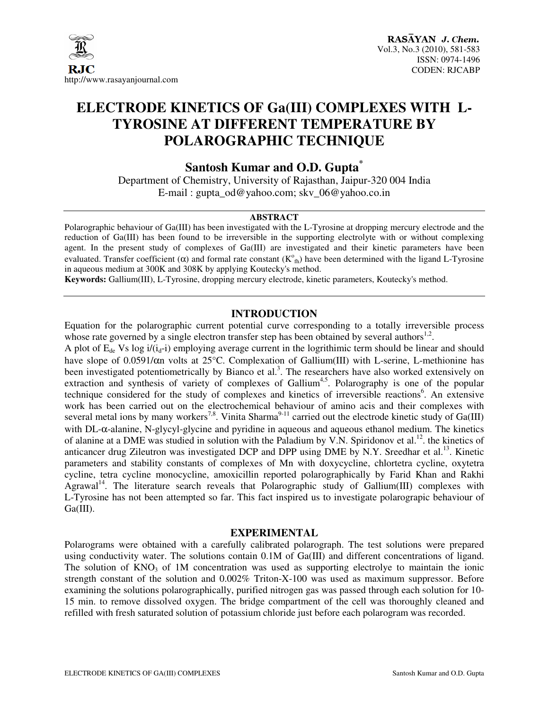

## **ELECTRODE KINETICS OF Ga(III) COMPLEXES WITH L-TYROSINE AT DIFFERENT TEMPERATURE BY POLAROGRAPHIC TECHNIQUE**

### **Santosh Kumar and O.D. Gupta\***

Department of Chemistry, University of Rajasthan, Jaipur-320 004 India E-mail : gupta\_od@yahoo.com; skv\_06@yahoo.co.in

#### **ABSTRACT**

Polarographic behaviour of Ga(III) has been investigated with the L-Tyrosine at dropping mercury electrode and the reduction of Ga(III) has been found to be irreversible in the supporting electrolyte with or without complexing agent. In the present study of complexes of Ga(III) are investigated and their kinetic parameters have been evaluated. Transfer coefficient ( $\alpha$ ) and formal rate constant ( $K^o_{\text{fh}}$ ) have been determined with the ligand L-Tyrosine in aqueous medium at 300K and 308K by applying Koutecky's method.

**Keywords:** Gallium(III), L-Tyrosine, dropping mercury electrode, kinetic parameters, Koutecky's method.

#### **INTRODUCTION**

Equation for the polarographic current potential curve corresponding to a totally irreversible process whose rate governed by a single electron transfer step has been obtained by several authors<sup>1,2</sup>.

A plot of  $E_{de}$  Vs log  $i/(i_d-i)$  employing average current in the logrithimic term should be linear and should have slope of 0.0591/αn volts at 25°C. Complexation of Gallium(III) with L-serine, L-methionine has been investigated potentiometrically by Bianco et al.<sup>3</sup>. The researchers have also worked extensively on extraction and synthesis of variety of complexes of Gallium<sup>4,5</sup>. Polarography is one of the popular technique considered for the study of complexes and kinetics of irreversible reactions<sup>6</sup>. An extensive work has been carried out on the electrochemical behaviour of amino acis and their complexes with several metal ions by many workers<sup>7,8</sup>. Vinita Sharma<sup>9-11</sup> carried out the electrode kinetic study of Ga(III) with DL-α-alanine, N-glycyl-glycine and pyridine in aqueous and aqueous ethanol medium. The kinetics of alanine at a DME was studied in solution with the Paladium by V.N. Spiridonov et al.<sup>12</sup>. the kinetics of anticancer drug Zileutron was investigated DCP and DPP using DME by N.Y. Sreedhar et al.<sup>13</sup>. Kinetic parameters and stability constants of complexes of Mn with doxycycline, chlortetra cycline, oxytetra cycline, tetra cycline monocycline, amoxicillin reported polarographically by Farid Khan and Rakhi Agrawal<sup>14</sup>. The literature search reveals that Polarographic study of Gallium(III) complexes with L-Tyrosine has not been attempted so far. This fact inspired us to investigate polarograpic behaviour of  $Ga(III)$ .

#### **EXPERIMENTAL**

Polarograms were obtained with a carefully calibrated polarograph. The test solutions were prepared using conductivity water. The solutions contain 0.1M of Ga(III) and different concentrations of ligand. The solution of  $KNO<sub>3</sub>$  of 1M concentration was used as supporting electrolye to maintain the ionic strength constant of the solution and 0.002% Triton-X-100 was used as maximum suppressor. Before examining the solutions polarographically, purified nitrogen gas was passed through each solution for 10- 15 min. to remove dissolved oxygen. The bridge compartment of the cell was thoroughly cleaned and refilled with fresh saturated solution of potassium chloride just before each polarogram was recorded.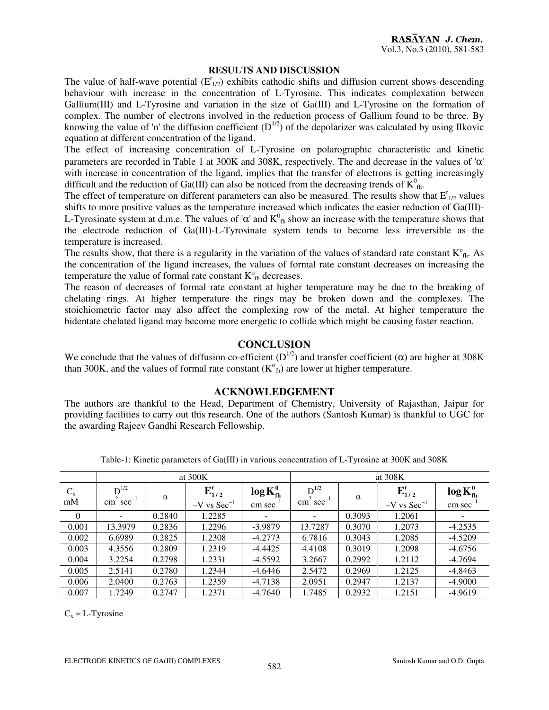#### **RESULTS AND DISCUSSION**

The value of half-wave potential  $(E_{1/2}^{r})$  exhibits cathodic shifts and diffusion current shows descending behaviour with increase in the concentration of L-Tyrosine. This indicates complexation between Gallium(III) and L-Tyrosine and variation in the size of Ga(III) and L-Tyrosine on the formation of complex. The number of electrons involved in the reduction process of Gallium found to be three. By knowing the value of 'n' the diffusion coefficient  $(D^{1/2})$  of the depolarizer was calculated by using Ilkovic equation at different concentration of the ligand.

The effect of increasing concentration of L-Tyrosine on polarographic characteristic and kinetic parameters are recorded in Table 1 at 300K and 308K, respectively. The and decrease in the values of 'α' with increase in concentration of the ligand, implies that the transfer of electrons is getting increasingly difficult and the reduction of Ga(III) can also be noticed from the decreasing trends of  $K^0_{\text{ th}}$ .

The effect of temperature on different parameters can also be measured. The results show that  $E_{1/2}^r$  values shifts to more positive values as the temperature increased which indicates the easier reduction of Ga(III)- L-Tyrosinate system at d.m.e. The values of ' $\alpha$ ' and  $K^0_{\text{th}}$  show an increase with the temperature shows that the electrode reduction of Ga(III)-L-Tyrosinate system tends to become less irreversible as the temperature is increased.

The results show, that there is a regularity in the variation of the values of standard rate constant  $K^o_{\text{fh}}$ . As the concentration of the ligand increases, the values of formal rate constant decreases on increasing the temperature the value of formal rate constant  $K^{\circ}_{\text{fh}}$  decreases.

The reason of decreases of formal rate constant at higher temperature may be due to the breaking of chelating rings. At higher temperature the rings may be broken down and the complexes. The stoichiometric factor may also affect the complexing row of the metal. At higher temperature the bidentate chelated ligand may become more energetic to collide which might be causing faster reaction.

#### **CONCLUSION**

We conclude that the values of diffusion co-efficient  $(D^{1/2})$  and transfer coefficient ( $\alpha$ ) are higher at 308K than 300K, and the values of formal rate constant  $(K<sup>o</sup><sub>fh</sub>)$  are lower at higher temperature.

#### **ACKNOWLEDGEMENT**

The authors are thankful to the Head, Department of Chemistry, University of Rajasthan, Jaipur for providing facilities to carry out this research. One of the authors (Santosh Kumar) is thankful to UGC for the awarding Rajeev Gandhi Research Fellowship.

|               | at $300K$                                   |          |                                   |                                                 | at 308K                                     |          |                                                       |                                                 |
|---------------|---------------------------------------------|----------|-----------------------------------|-------------------------------------------------|---------------------------------------------|----------|-------------------------------------------------------|-------------------------------------------------|
| $C_{x}$<br>mM | $D^{1/2}$<br>$\text{cm}^2 \text{ sec}^{-1}$ | $\alpha$ | $E_{1/2}^r$<br>$-V$ vs $Sec^{-1}$ | $\log K_{\text{fh}}^0$<br>$cm \text{ sec}^{-1}$ | $D^{1/2}$<br>$\text{cm}^2 \text{ sec}^{-1}$ | $\alpha$ | $\mathbf{E}_{1/2}^{\mathbf{r}}$<br>$-V$ vs $Sec^{-1}$ | $\log K_{\text{fh}}^0$<br>$cm \text{ sec}^{-1}$ |
| $\theta$      | -                                           | 0.2840   | 1.2285                            |                                                 | $\overline{\phantom{a}}$                    | 0.3093   | 1.2061                                                |                                                 |
| 0.001         | 13.3979                                     | 0.2836   | 1.2296                            | $-3.9879$                                       | 13.7287                                     | 0.3070   | 1.2073                                                | $-4.2535$                                       |
| 0.002         | 6.6989                                      | 0.2825   | 1.2308                            | $-4.2773$                                       | 6.7816                                      | 0.3043   | 1.2085                                                | $-4.5209$                                       |
| 0.003         | 4.3556                                      | 0.2809   | 1.2319                            | $-4.4425$                                       | 4.4108                                      | 0.3019   | 1.2098                                                | $-4.6756$                                       |
| 0.004         | 3.2254                                      | 0.2798   | 1.2331                            | $-4.5592$                                       | 3.2667                                      | 0.2992   | 1.2112                                                | $-4.7694$                                       |
| 0.005         | 2.5141                                      | 0.2780   | 1.2344                            | -4.6446                                         | 2.5472                                      | 0.2969   | 1.2125                                                | $-4.8463$                                       |
| 0.006         | 2.0400                                      | 0.2763   | 1.2359                            | $-4.7138$                                       | 2.0951                                      | 0.2947   | 1.2137                                                | $-4.9000$                                       |
| 0.007         | 1.7249                                      | 0.2747   | 1.2371                            | $-4.7640$                                       | 1.7485                                      | 0.2932   | 1.2151                                                | $-4.9619$                                       |

Table-1: Kinetic parameters of Ga(III) in various concentration of L-Tyrosine at 300K and 308K

 $C_x = L$ -Tyrosine